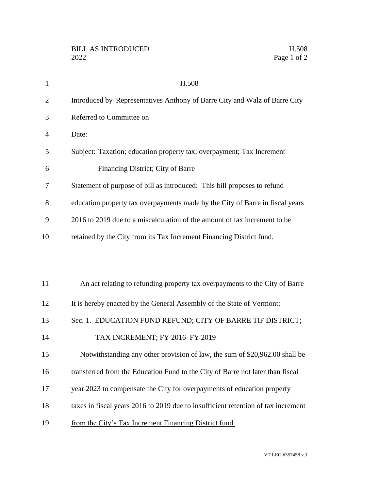| $\mathbf{1}$   | H.508                                                                             |
|----------------|-----------------------------------------------------------------------------------|
| $\overline{2}$ | Introduced by Representatives Anthony of Barre City and Walz of Barre City        |
| 3              | Referred to Committee on                                                          |
| 4              | Date:                                                                             |
| 5              | Subject: Taxation; education property tax; overpayment; Tax Increment             |
| 6              | Financing District; City of Barre                                                 |
| 7              | Statement of purpose of bill as introduced: This bill proposes to refund          |
| 8              | education property tax overpayments made by the City of Barre in fiscal years     |
| 9              | 2016 to 2019 due to a miscalculation of the amount of tax increment to be         |
| 10             | retained by the City from its Tax Increment Financing District fund.              |
|                |                                                                                   |
|                |                                                                                   |
| 11             | An act relating to refunding property tax overpayments to the City of Barre       |
| 12             | It is hereby enacted by the General Assembly of the State of Vermont:             |
| 13             | Sec. 1. EDUCATION FUND REFUND; CITY OF BARRE TIF DISTRICT;                        |
| 14             | TAX INCREMENT; FY 2016-FY 2019                                                    |
| 15             | Notwithstanding any other provision of law, the sum of \$20,962.00 shall be       |
| 16             | transferred from the Education Fund to the City of Barre not later than fiscal    |
| 17             | year 2023 to compensate the City for overpayments of education property           |
| 18             | taxes in fiscal years 2016 to 2019 due to insufficient retention of tax increment |
|                |                                                                                   |

19 from the City's Tax Increment Financing District fund.